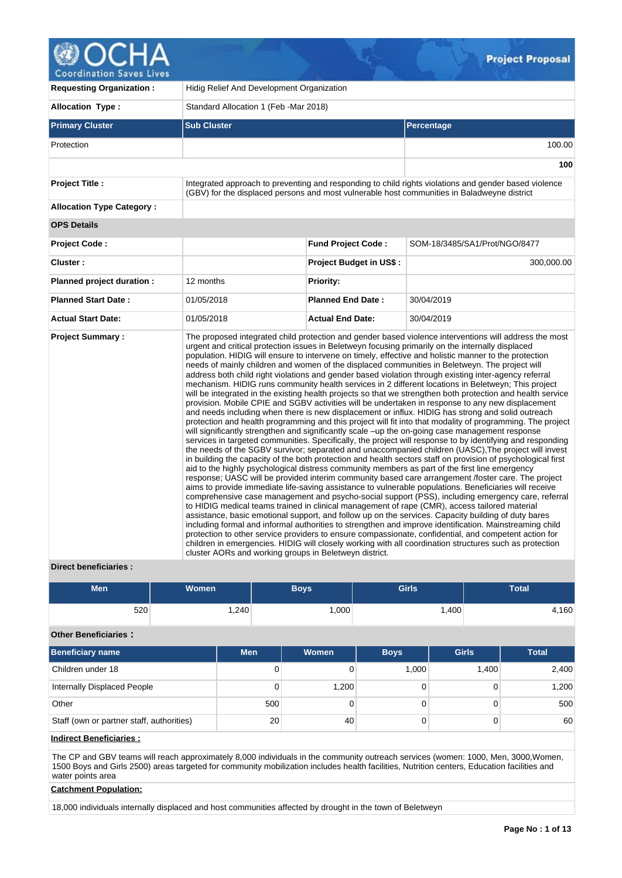**Project Proposal** 

**Coordination Saves Lives** 

| <b>Requesting Organization:</b>  | Hidig Relief And Development Organization              |                                |                                                                                                                                                                                                                                                                                                                                                                                                                                                                                                                                                                                                                                                                                                                                                                                                                                                                                                                                                                                                                                                                                                                                                                                                                                                                                                                                                                                                                                                                                                                                                                                                                                                                                                                                                                                                                                                                                                                                                                                                                                                                                                                                                                                                                                                                                                                                                                                                                                                                                      |  |  |  |  |  |  |
|----------------------------------|--------------------------------------------------------|--------------------------------|--------------------------------------------------------------------------------------------------------------------------------------------------------------------------------------------------------------------------------------------------------------------------------------------------------------------------------------------------------------------------------------------------------------------------------------------------------------------------------------------------------------------------------------------------------------------------------------------------------------------------------------------------------------------------------------------------------------------------------------------------------------------------------------------------------------------------------------------------------------------------------------------------------------------------------------------------------------------------------------------------------------------------------------------------------------------------------------------------------------------------------------------------------------------------------------------------------------------------------------------------------------------------------------------------------------------------------------------------------------------------------------------------------------------------------------------------------------------------------------------------------------------------------------------------------------------------------------------------------------------------------------------------------------------------------------------------------------------------------------------------------------------------------------------------------------------------------------------------------------------------------------------------------------------------------------------------------------------------------------------------------------------------------------------------------------------------------------------------------------------------------------------------------------------------------------------------------------------------------------------------------------------------------------------------------------------------------------------------------------------------------------------------------------------------------------------------------------------------------------|--|--|--|--|--|--|
| <b>Allocation Type:</b>          | Standard Allocation 1 (Feb - Mar 2018)                 |                                |                                                                                                                                                                                                                                                                                                                                                                                                                                                                                                                                                                                                                                                                                                                                                                                                                                                                                                                                                                                                                                                                                                                                                                                                                                                                                                                                                                                                                                                                                                                                                                                                                                                                                                                                                                                                                                                                                                                                                                                                                                                                                                                                                                                                                                                                                                                                                                                                                                                                                      |  |  |  |  |  |  |
| <b>Primary Cluster</b>           | <b>Sub Cluster</b>                                     |                                | Percentage                                                                                                                                                                                                                                                                                                                                                                                                                                                                                                                                                                                                                                                                                                                                                                                                                                                                                                                                                                                                                                                                                                                                                                                                                                                                                                                                                                                                                                                                                                                                                                                                                                                                                                                                                                                                                                                                                                                                                                                                                                                                                                                                                                                                                                                                                                                                                                                                                                                                           |  |  |  |  |  |  |
| Protection                       |                                                        |                                | 100.00                                                                                                                                                                                                                                                                                                                                                                                                                                                                                                                                                                                                                                                                                                                                                                                                                                                                                                                                                                                                                                                                                                                                                                                                                                                                                                                                                                                                                                                                                                                                                                                                                                                                                                                                                                                                                                                                                                                                                                                                                                                                                                                                                                                                                                                                                                                                                                                                                                                                               |  |  |  |  |  |  |
|                                  |                                                        |                                | 100                                                                                                                                                                                                                                                                                                                                                                                                                                                                                                                                                                                                                                                                                                                                                                                                                                                                                                                                                                                                                                                                                                                                                                                                                                                                                                                                                                                                                                                                                                                                                                                                                                                                                                                                                                                                                                                                                                                                                                                                                                                                                                                                                                                                                                                                                                                                                                                                                                                                                  |  |  |  |  |  |  |
| <b>Project Title:</b>            |                                                        |                                | Integrated approach to preventing and responding to child rights violations and gender based violence<br>(GBV) for the displaced persons and most vulnerable host communities in Baladweyne district                                                                                                                                                                                                                                                                                                                                                                                                                                                                                                                                                                                                                                                                                                                                                                                                                                                                                                                                                                                                                                                                                                                                                                                                                                                                                                                                                                                                                                                                                                                                                                                                                                                                                                                                                                                                                                                                                                                                                                                                                                                                                                                                                                                                                                                                                 |  |  |  |  |  |  |
| <b>Allocation Type Category:</b> |                                                        |                                |                                                                                                                                                                                                                                                                                                                                                                                                                                                                                                                                                                                                                                                                                                                                                                                                                                                                                                                                                                                                                                                                                                                                                                                                                                                                                                                                                                                                                                                                                                                                                                                                                                                                                                                                                                                                                                                                                                                                                                                                                                                                                                                                                                                                                                                                                                                                                                                                                                                                                      |  |  |  |  |  |  |
| <b>OPS Details</b>               |                                                        |                                |                                                                                                                                                                                                                                                                                                                                                                                                                                                                                                                                                                                                                                                                                                                                                                                                                                                                                                                                                                                                                                                                                                                                                                                                                                                                                                                                                                                                                                                                                                                                                                                                                                                                                                                                                                                                                                                                                                                                                                                                                                                                                                                                                                                                                                                                                                                                                                                                                                                                                      |  |  |  |  |  |  |
| <b>Project Code:</b>             |                                                        | <b>Fund Project Code:</b>      | SOM-18/3485/SA1/Prot/NGO/8477                                                                                                                                                                                                                                                                                                                                                                                                                                                                                                                                                                                                                                                                                                                                                                                                                                                                                                                                                                                                                                                                                                                                                                                                                                                                                                                                                                                                                                                                                                                                                                                                                                                                                                                                                                                                                                                                                                                                                                                                                                                                                                                                                                                                                                                                                                                                                                                                                                                        |  |  |  |  |  |  |
| Cluster:                         |                                                        | <b>Project Budget in US\$:</b> | 300,000.00                                                                                                                                                                                                                                                                                                                                                                                                                                                                                                                                                                                                                                                                                                                                                                                                                                                                                                                                                                                                                                                                                                                                                                                                                                                                                                                                                                                                                                                                                                                                                                                                                                                                                                                                                                                                                                                                                                                                                                                                                                                                                                                                                                                                                                                                                                                                                                                                                                                                           |  |  |  |  |  |  |
| Planned project duration :       | 12 months                                              | <b>Priority:</b>               |                                                                                                                                                                                                                                                                                                                                                                                                                                                                                                                                                                                                                                                                                                                                                                                                                                                                                                                                                                                                                                                                                                                                                                                                                                                                                                                                                                                                                                                                                                                                                                                                                                                                                                                                                                                                                                                                                                                                                                                                                                                                                                                                                                                                                                                                                                                                                                                                                                                                                      |  |  |  |  |  |  |
| <b>Planned Start Date:</b>       | 01/05/2018                                             | <b>Planned End Date:</b>       | 30/04/2019                                                                                                                                                                                                                                                                                                                                                                                                                                                                                                                                                                                                                                                                                                                                                                                                                                                                                                                                                                                                                                                                                                                                                                                                                                                                                                                                                                                                                                                                                                                                                                                                                                                                                                                                                                                                                                                                                                                                                                                                                                                                                                                                                                                                                                                                                                                                                                                                                                                                           |  |  |  |  |  |  |
| <b>Actual Start Date:</b>        | 01/05/2018                                             | <b>Actual End Date:</b>        | 30/04/2019                                                                                                                                                                                                                                                                                                                                                                                                                                                                                                                                                                                                                                                                                                                                                                                                                                                                                                                                                                                                                                                                                                                                                                                                                                                                                                                                                                                                                                                                                                                                                                                                                                                                                                                                                                                                                                                                                                                                                                                                                                                                                                                                                                                                                                                                                                                                                                                                                                                                           |  |  |  |  |  |  |
| <b>Project Summary:</b>          | cluster AORs and working groups in Beletweyn district. |                                | The proposed integrated child protection and gender based violence interventions will address the most<br>urgent and critical protection issues in Beletweyn focusing primarily on the internally displaced<br>population. HIDIG will ensure to intervene on timely, effective and holistic manner to the protection<br>needs of mainly children and women of the displaced communities in Beletweyn. The project will<br>address both child right violations and gender based violation through existing inter-agency referral<br>mechanism. HIDIG runs community health services in 2 different locations in Beletweyn; This project<br>will be integrated in the existing health projects so that we strengthen both protection and health service<br>provision. Mobile CPIE and SGBV activities will be undertaken in response to any new displacement<br>and needs including when there is new displacement or influx. HIDIG has strong and solid outreach<br>protection and health programming and this project will fit into that modality of programming. The project<br>will significantly strengthen and significantly scale -up the on-going case management response<br>services in targeted communities. Specifically, the project will response to by identifying and responding<br>the needs of the SGBV survivor; separated and unaccompanied children (UASC). The project will invest<br>in building the capacity of the both protection and health sectors staff on provision of psychological first<br>aid to the highly psychological distress community members as part of the first line emergency<br>response; UASC will be provided interim community based care arrangement /foster care. The project<br>aims to provide immediate life-saving assistance to vulnerable populations. Beneficiaries will receive<br>comprehensive case management and psycho-social support (PSS), including emergency care, referral<br>to HIDIG medical teams trained in clinical management of rape (CMR), access tailored material<br>assistance, basic emotional support, and follow up on the services. Capacity building of duty bares<br>including formal and informal authorities to strengthen and improve identification. Mainstreaming child<br>protection to other service providers to ensure compassionate, confidential, and competent action for<br>children in emergencies. HIDIG will closely working with all coordination structures such as protection |  |  |  |  |  |  |

# **Direct beneficiaries :**

| <b>Men</b> | Women | Boys   | <b>Girls</b> | <b>Total</b> |
|------------|-------|--------|--------------|--------------|
| 520        | ,240  | ∫000.، | .400         | .160         |

# **Other Beneficiaries :**

| <b>Beneficiary name</b>                   | <b>Men</b> | <b>Women</b> | <b>Boys</b> | <b>Girls</b> | <b>Total</b> |
|-------------------------------------------|------------|--------------|-------------|--------------|--------------|
| Children under 18                         | 0          |              | 1,000       | 1,400        | 2,400        |
| Internally Displaced People               | 0          | 1,200        |             |              | 1,200        |
| Other                                     | 500        |              |             |              | 500          |
| Staff (own or partner staff, authorities) | 20         | 40           |             |              | 60           |

## **Indirect Beneficiaries :**

The CP and GBV teams will reach approximately 8,000 individuals in the community outreach services (women: 1000, Men, 3000,Women, 1500 Boys and Girls 2500) areas targeted for community mobilization includes health facilities, Nutrition centers, Education facilities and water points area

## **Catchment Population:**

18,000 individuals internally displaced and host communities affected by drought in the town of Beletweyn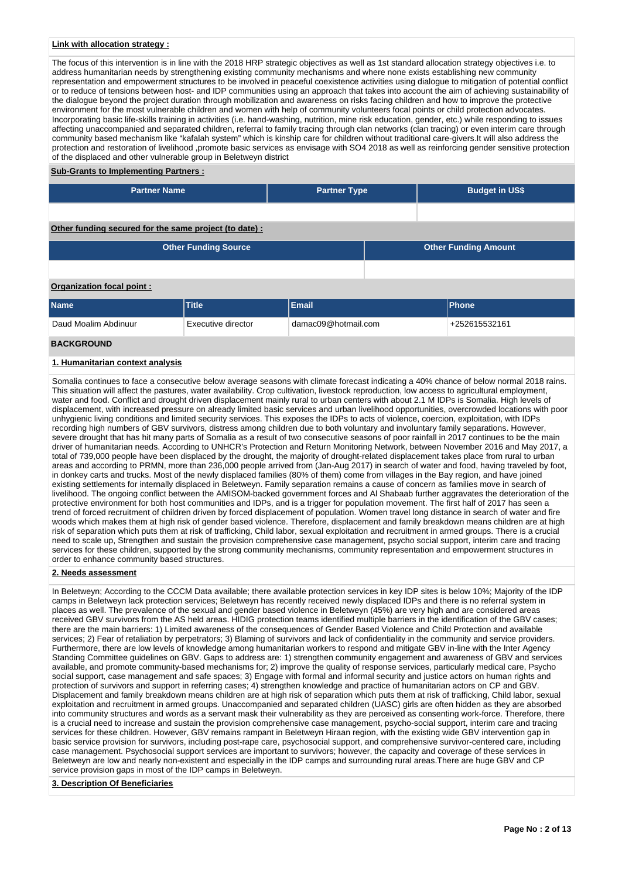## **Link with allocation strategy :**

The focus of this intervention is in line with the 2018 HRP strategic objectives as well as 1st standard allocation strategy objectives i.e. to address humanitarian needs by strengthening existing community mechanisms and where none exists establishing new community representation and empowerment structures to be involved in peaceful coexistence activities using dialogue to mitigation of potential conflict or to reduce of tensions between host- and IDP communities using an approach that takes into account the aim of achieving sustainability of the dialogue beyond the project duration through mobilization and awareness on risks facing children and how to improve the protective environment for the most vulnerable children and women with help of community volunteers focal points or child protection advocates. Incorporating basic life-skills training in activities (i.e. hand-washing, nutrition, mine risk education, gender, etc.) while responding to issues affecting unaccompanied and separated children, referral to family tracing through clan networks (clan tracing) or even interim care through community based mechanism like "kafalah system" which is kinship care for children without traditional care-givers.It will also address the protection and restoration of livelihood ,promote basic services as envisage with SO4 2018 as well as reinforcing gender sensitive protection of the displaced and other vulnerable group in Beletweyn district

#### **Sub-Grants to Implementing Partners :**

| <b>Partner Name</b>                                    | <b>Partner Type</b> |  | <b>Budget in US\$</b>       |  |  |  |  |  |  |  |
|--------------------------------------------------------|---------------------|--|-----------------------------|--|--|--|--|--|--|--|
|                                                        |                     |  |                             |  |  |  |  |  |  |  |
| Other funding secured for the same project (to date) : |                     |  |                             |  |  |  |  |  |  |  |
| <b>Other Funding Source</b>                            |                     |  | <b>Other Funding Amount</b> |  |  |  |  |  |  |  |
|                                                        |                     |  |                             |  |  |  |  |  |  |  |
| Organization focal point:                              |                     |  |                             |  |  |  |  |  |  |  |

| <b>Name</b>          | <b>Title</b>       | Email               | <b>Phone</b>  |
|----------------------|--------------------|---------------------|---------------|
| Daud Moalim Abdinuur | Executive director | damac09@hotmail.com | +252615532161 |

## **BACKGROUND**

#### **1. Humanitarian context analysis**

Somalia continues to face a consecutive below average seasons with climate forecast indicating a 40% chance of below normal 2018 rains. This situation will affect the pastures, water availability. Crop cultivation, livestock reproduction, low access to agricultural employment, water and food. Conflict and drought driven displacement mainly rural to urban centers with about 2.1 M IDPs is Somalia. High levels of displacement, with increased pressure on already limited basic services and urban livelihood opportunities, overcrowded locations with poor unhygienic living conditions and limited security services. This exposes the IDPs to acts of violence, coercion, exploitation, with IDPs recording high numbers of GBV survivors, distress among children due to both voluntary and involuntary family separations. However, severe drought that has hit many parts of Somalia as a result of two consecutive seasons of poor rainfall in 2017 continues to be the main driver of humanitarian needs. According to UNHCR's Protection and Return Monitoring Network, between November 2016 and May 2017, a total of 739,000 people have been displaced by the drought, the majority of drought-related displacement takes place from rural to urban areas and according to PRMN, more than 236,000 people arrived from (Jan-Aug 2017) in search of water and food, having traveled by foot, in donkey carts and trucks. Most of the newly displaced families (80% of them) come from villages in the Bay region, and have joined existing settlements for internally displaced in Beletweyn. Family separation remains a cause of concern as families move in search of livelihood. The ongoing conflict between the AMISOM-backed government forces and Al Shabaab further aggravates the deterioration of the protective environment for both host communities and IDPs, and is a trigger for population movement. The first half of 2017 has seen a trend of forced recruitment of children driven by forced displacement of population. Women travel long distance in search of water and fire woods which makes them at high risk of gender based violence. Therefore, displacement and family breakdown means children are at high risk of separation which puts them at risk of trafficking, Child labor, sexual exploitation and recruitment in armed groups. There is a crucial need to scale up, Strengthen and sustain the provision comprehensive case management, psycho social support, interim care and tracing services for these children, supported by the strong community mechanisms, community representation and empowerment structures in order to enhance community based structures.

#### **2. Needs assessment**

In Beletweyn; According to the CCCM Data available; there available protection services in key IDP sites is below 10%; Majority of the IDP camps in Beletweyn lack protection services; Beletweyn has recently received newly displaced IDPs and there is no referral system in places as well. The prevalence of the sexual and gender based violence in Beletweyn (45%) are very high and are considered areas received GBV survivors from the AS held areas. HIDIG protection teams identified multiple barriers in the identification of the GBV cases; there are the main barriers: 1) Limited awareness of the consequences of Gender Based Violence and Child Protection and available services; 2) Fear of retaliation by perpetrators; 3) Blaming of survivors and lack of confidentiality in the community and service providers. Furthermore, there are low levels of knowledge among humanitarian workers to respond and mitigate GBV in-line with the Inter Agency Standing Committee guidelines on GBV. Gaps to address are: 1) strengthen community engagement and awareness of GBV and services available, and promote community-based mechanisms for; 2) improve the quality of response services, particularly medical care, Psycho social support, case management and safe spaces; 3) Engage with formal and informal security and justice actors on human rights and protection of survivors and support in referring cases; 4) strengthen knowledge and practice of humanitarian actors on CP and GBV. Displacement and family breakdown means children are at high risk of separation which puts them at risk of trafficking, Child labor, sexual exploitation and recruitment in armed groups. Unaccompanied and separated children (UASC) girls are often hidden as they are absorbed into community structures and words as a servant mask their vulnerability as they are perceived as consenting work-force. Therefore, there is a crucial need to increase and sustain the provision comprehensive case management, psycho-social support, interim care and tracing services for these children. However, GBV remains rampant in Beletweyn Hiraan region, with the existing wide GBV intervention gap in basic service provision for survivors, including post-rape care, psychosocial support, and comprehensive survivor-centered care, including case management. Psychosocial support services are important to survivors; however, the capacity and coverage of these services in Beletweyn are low and nearly non-existent and especially in the IDP camps and surrounding rural areas.There are huge GBV and CP service provision gaps in most of the IDP camps in Beletweyn.

#### **3. Description Of Beneficiaries**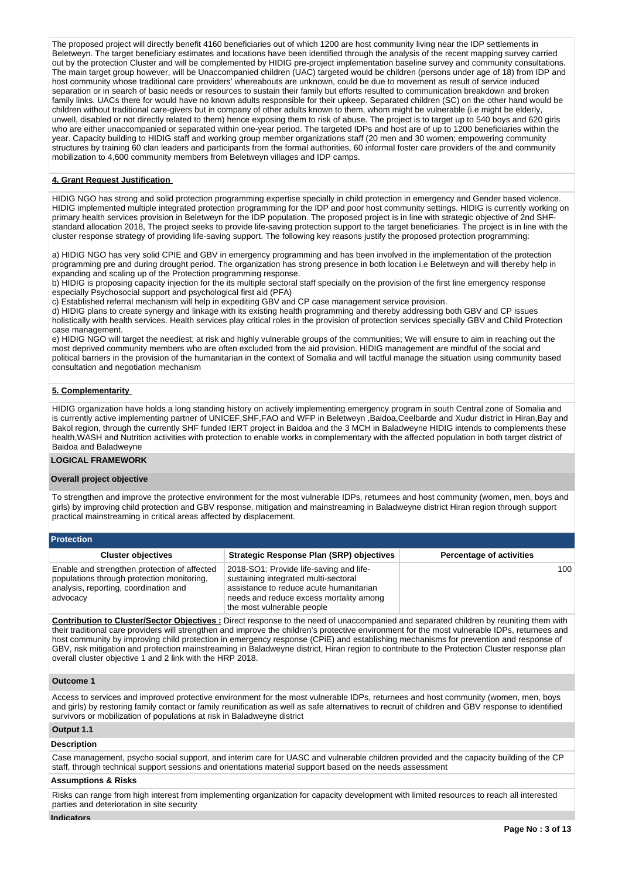The proposed project will directly benefit 4160 beneficiaries out of which 1200 are host community living near the IDP settlements in Beletweyn. The target beneficiary estimates and locations have been identified through the analysis of the recent mapping survey carried out by the protection Cluster and will be complemented by HIDIG pre-project implementation baseline survey and community consultations. The main target group however, will be Unaccompanied children (UAC) targeted would be children (persons under age of 18) from IDP and host community whose traditional care providers' whereabouts are unknown, could be due to movement as result of service induced separation or in search of basic needs or resources to sustain their family but efforts resulted to communication breakdown and broken family links. UACs there for would have no known adults responsible for their upkeep. Separated children (SC) on the other hand would be children without traditional care-givers but in company of other adults known to them, whom might be vulnerable (i.e might be elderly, unwell, disabled or not directly related to them) hence exposing them to risk of abuse. The project is to target up to 540 boys and 620 girls who are either unaccompanied or separated within one-year period. The targeted IDPs and host are of up to 1200 beneficiaries within the year. Capacity building to HIDIG staff and working group member organizations staff (20 men and 30 women; empowering community structures by training 60 clan leaders and participants from the formal authorities, 60 informal foster care providers of the and community mobilization to 4,600 community members from Beletweyn villages and IDP camps.

#### **4. Grant Request Justification**

HIDIG NGO has strong and solid protection programming expertise specially in child protection in emergency and Gender based violence. HIDIG implemented multiple integrated protection programming for the IDP and poor host community settings. HIDIG is currently working on primary health services provision in Beletweyn for the IDP population. The proposed project is in line with strategic objective of 2nd SHFstandard allocation 2018, The project seeks to provide life-saving protection support to the target beneficiaries. The project is in line with the cluster response strategy of providing life-saving support. The following key reasons justify the proposed protection programming:

a) HIDIG NGO has very solid CPIE and GBV in emergency programming and has been involved in the implementation of the protection programming pre and during drought period. The organization has strong presence in both location i.e Beletweyn and will thereby help in expanding and scaling up of the Protection programming response.

b) HIDIG is proposing capacity injection for the its multiple sectoral staff specially on the provision of the first line emergency response especially Psychosocial support and psychological first aid (PFA)

c) Established referral mechanism will help in expediting GBV and CP case management service provision.

d) HIDIG plans to create synergy and linkage with its existing health programming and thereby addressing both GBV and CP issues holistically with health services. Health services play critical roles in the provision of protection services specially GBV and Child Protection case management.

e) HIDIG NGO will target the neediest; at risk and highly vulnerable groups of the communities; We will ensure to aim in reaching out the most deprived community members who are often excluded from the aid provision. HIDIG management are mindful of the social and political barriers in the provision of the humanitarian in the context of Somalia and will tactful manage the situation using community based consultation and negotiation mechanism

#### **5. Complementarity**

HIDIG organization have holds a long standing history on actively implementing emergency program in south Central zone of Somalia and is currently active implementing partner of UNICEF,SHF,FAO and WFP in Beletweyn ,Baidoa,Ceelbarde and Xudur district in Hiran,Bay and Bakol region, through the currently SHF funded IERT project in Baidoa and the 3 MCH in Baladweyne HIDIG intends to complements these health,WASH and Nutrition activities with protection to enable works in complementary with the affected population in both target district of Baidoa and Baladweyne

#### **LOGICAL FRAMEWORK**

#### **Overall project objective**

To strengthen and improve the protective environment for the most vulnerable IDPs, returnees and host community (women, men, boys and girls) by improving child protection and GBV response, mitigation and mainstreaming in Baladweyne district Hiran region through support practical mainstreaming in critical areas affected by displacement.

**Protection**

| <b>Cluster objectives</b>                                                                                                                       | <b>Strategic Response Plan (SRP) objectives</b>                                                                                                                                                     | <b>Percentage of activities</b> |
|-------------------------------------------------------------------------------------------------------------------------------------------------|-----------------------------------------------------------------------------------------------------------------------------------------------------------------------------------------------------|---------------------------------|
| Enable and strengthen protection of affected<br>populations through protection monitoring,<br>analysis, reporting, coordination and<br>advocacy | 2018-SO1: Provide life-saving and life-<br>sustaining integrated multi-sectoral<br>assistance to reduce acute humanitarian<br>needs and reduce excess mortality among<br>the most vulnerable people | 100 <sup>1</sup>                |

**Contribution to Cluster/Sector Objectives :** Direct response to the need of unaccompanied and separated children by reuniting them with their traditional care providers will strengthen and improve the children's protective environment for the most vulnerable IDPs, returnees and host community by improving child protection in emergency response (CPiE) and establishing mechanisms for prevention and response of GBV, risk mitigation and protection mainstreaming in Baladweyne district, Hiran region to contribute to the Protection Cluster response plan overall cluster objective 1 and 2 link with the HRP 2018.

#### **Outcome 1**

Access to services and improved protective environment for the most vulnerable IDPs, returnees and host community (women, men, boys and girls) by restoring family contact or family reunification as well as safe alternatives to recruit of children and GBV response to identified survivors or mobilization of populations at risk in Baladweyne district

#### **Output 1.1**

#### **Description**

Case management, psycho social support, and interim care for UASC and vulnerable children provided and the capacity building of the CP staff, through technical support sessions and orientations material support based on the needs assessment

#### **Assumptions & Risks**

Risks can range from high interest from implementing organization for capacity development with limited resources to reach all interested parties and deterioration in site security

#### **Indicators**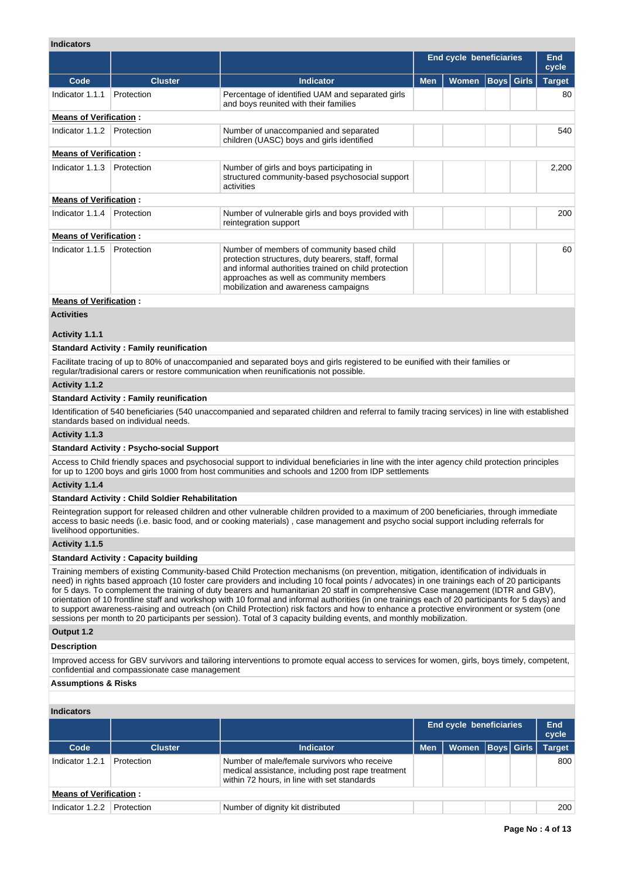# **Indicators**

| murvatora                     |                |                                                                                                                                                                                                                                             |            |                         |  |                   |               |
|-------------------------------|----------------|---------------------------------------------------------------------------------------------------------------------------------------------------------------------------------------------------------------------------------------------|------------|-------------------------|--|-------------------|---------------|
|                               |                |                                                                                                                                                                                                                                             |            | End cycle beneficiaries |  |                   |               |
| Code                          | <b>Cluster</b> | <b>Indicator</b>                                                                                                                                                                                                                            | <b>Men</b> | <b>Women</b>            |  | <b>Boys</b> Girls | <b>Target</b> |
| Indicator 1.1.1               | Protection     | Percentage of identified UAM and separated girls<br>and boys reunited with their families                                                                                                                                                   |            |                         |  |                   | 80            |
| <b>Means of Verification:</b> |                |                                                                                                                                                                                                                                             |            |                         |  |                   |               |
| Indicator 1.1.2               | Protection     | Number of unaccompanied and separated<br>children (UASC) boys and girls identified                                                                                                                                                          |            |                         |  |                   | 540           |
| <b>Means of Verification:</b> |                |                                                                                                                                                                                                                                             |            |                         |  |                   |               |
| Indicator 1.1.3               | Protection     | Number of girls and boys participating in<br>structured community-based psychosocial support<br>activities                                                                                                                                  |            |                         |  |                   | 2,200         |
| <b>Means of Verification:</b> |                |                                                                                                                                                                                                                                             |            |                         |  |                   |               |
| Indicator 1.1.4               | Protection     | Number of vulnerable girls and boys provided with<br>reintegration support                                                                                                                                                                  |            |                         |  |                   | 200           |
| <b>Means of Verification:</b> |                |                                                                                                                                                                                                                                             |            |                         |  |                   |               |
| Indicator 1.1.5               | Protection     | Number of members of community based child<br>protection structures, duty bearers, staff, formal<br>and informal authorities trained on child protection<br>approaches as well as community members<br>mobilization and awareness campaigns |            |                         |  |                   | 60            |
| Moane of Varification .       |                |                                                                                                                                                                                                                                             |            |                         |  |                   |               |

#### **Means of Verification :**

**Activities**

## **Activity 1.1.1**

## **Standard Activity : Family reunification**

Facilitate tracing of up to 80% of unaccompanied and separated boys and girls registered to be eunified with their families or regular/tradisional carers or restore communication when reunificationis not possible.

## **Activity 1.1.2**

## **Standard Activity : Family reunification**

Identification of 540 beneficiaries (540 unaccompanied and separated children and referral to family tracing services) in line with established standards based on individual needs.

#### **Activity 1.1.3**

## **Standard Activity : Psycho-social Support**

Access to Child friendly spaces and psychosocial support to individual beneficiaries in line with the inter agency child protection principles for up to 1200 boys and girls 1000 from host communities and schools and 1200 from IDP settlements

## **Activity 1.1.4**

## **Standard Activity : Child Soldier Rehabilitation**

Reintegration support for released children and other vulnerable children provided to a maximum of 200 beneficiaries, through immediate access to basic needs (i.e. basic food, and or cooking materials) , case management and psycho social support including referrals for livelihood opportunities.

## **Activity 1.1.5**

#### **Standard Activity : Capacity building**

Training members of existing Community-based Child Protection mechanisms (on prevention, mitigation, identification of individuals in need) in rights based approach (10 foster care providers and including 10 focal points / advocates) in one trainings each of 20 participants for 5 days. To complement the training of duty bearers and humanitarian 20 staff in comprehensive Case management (IDTR and GBV), orientation of 10 frontline staff and workshop with 10 formal and informal authorities (in one trainings each of 20 participants for 5 days) and to support awareness-raising and outreach (on Child Protection) risk factors and how to enhance a protective environment or system (one sessions per month to 20 participants per session). Total of 3 capacity building events, and monthly mobilization.

## **Output 1.2**

## **Description**

Improved access for GBV survivors and tailoring interventions to promote equal access to services for women, girls, boys timely, competent, confidential and compassionate case management

## **Assumptions & Risks**

| <b>Indicators</b>             |                |                                                                                                                                                 |                                |                      |  |  |               |  |  |
|-------------------------------|----------------|-------------------------------------------------------------------------------------------------------------------------------------------------|--------------------------------|----------------------|--|--|---------------|--|--|
|                               |                |                                                                                                                                                 | <b>End cycle beneficiaries</b> | End<br>cycle         |  |  |               |  |  |
| Code                          | <b>Cluster</b> | Indicator                                                                                                                                       | <b>Men</b>                     | Women   Boys   Girls |  |  | <b>Target</b> |  |  |
| Indicator 1.2.1               | Protection     | Number of male/female survivors who receive<br>medical assistance, including post rape treatment<br>within 72 hours, in line with set standards |                                |                      |  |  | 800           |  |  |
| <b>Means of Verification:</b> |                |                                                                                                                                                 |                                |                      |  |  |               |  |  |
| Indicator 1.2.2               | Protection     | Number of dignity kit distributed                                                                                                               |                                |                      |  |  | 200           |  |  |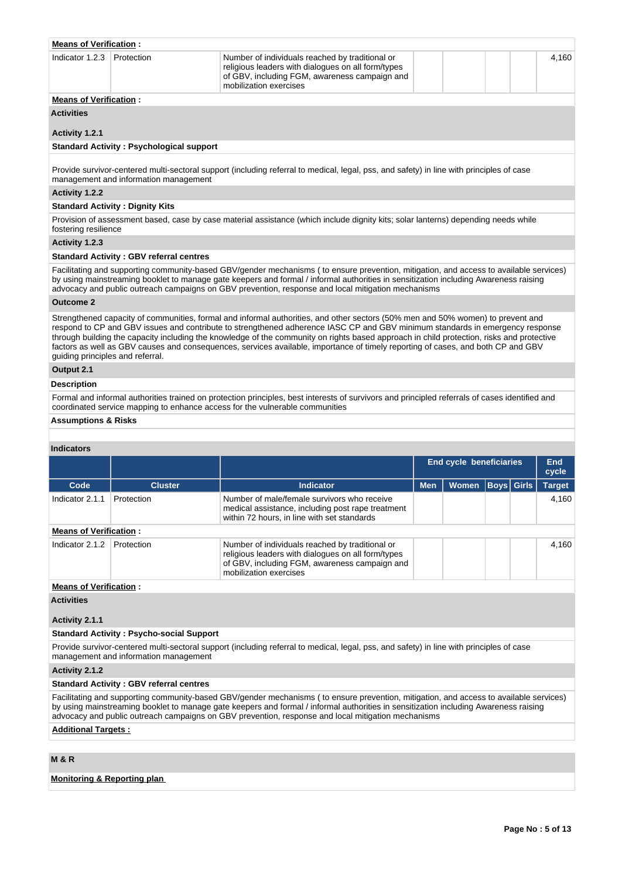| <b>Means of Verification:</b> |  |                                                                                                                                                                                  |  |  |  |  |       |  |  |
|-------------------------------|--|----------------------------------------------------------------------------------------------------------------------------------------------------------------------------------|--|--|--|--|-------|--|--|
| Indicator 1.2.3 Protection    |  | Number of individuals reached by traditional or<br>religious leaders with dialogues on all form/types<br>of GBV, including FGM, awareness campaign and<br>mobilization exercises |  |  |  |  | 4.160 |  |  |
| Moane of Vorification         |  |                                                                                                                                                                                  |  |  |  |  |       |  |  |

# **Verification :**

**Activities**

## **Activity 1.2.1**

## **Standard Activity : Psychological support**

Provide survivor-centered multi-sectoral support (including referral to medical, legal, pss, and safety) in line with principles of case management and information management

### **Activity 1.2.2**

#### **Standard Activity : Dignity Kits**

Provision of assessment based, case by case material assistance (which include dignity kits; solar lanterns) depending needs while fostering resilience

#### **Activity 1.2.3**

#### **Standard Activity : GBV referral centres**

Facilitating and supporting community-based GBV/gender mechanisms ( to ensure prevention, mitigation, and access to available services) by using mainstreaming booklet to manage gate keepers and formal / informal authorities in sensitization including Awareness raising advocacy and public outreach campaigns on GBV prevention, response and local mitigation mechanisms

## **Outcome 2**

Strengthened capacity of communities, formal and informal authorities, and other sectors (50% men and 50% women) to prevent and respond to CP and GBV issues and contribute to strengthened adherence IASC CP and GBV minimum standards in emergency response through building the capacity including the knowledge of the community on rights based approach in child protection, risks and protective factors as well as GBV causes and consequences, services available, importance of timely reporting of cases, and both CP and GBV guiding principles and referral.

# **Output 2.1**

## **Description**

Formal and informal authorities trained on protection principles, best interests of survivors and principled referrals of cases identified and coordinated service mapping to enhance access for the vulnerable communities

#### **Assumptions & Risks**

#### **Indicators**

|                               |                |                                                                                                                                                                                  |            | End cycle beneficiaries |  |                   | <b>End</b><br>cycle |
|-------------------------------|----------------|----------------------------------------------------------------------------------------------------------------------------------------------------------------------------------|------------|-------------------------|--|-------------------|---------------------|
| Code                          | <b>Cluster</b> | <b>Indicator</b>                                                                                                                                                                 | <b>Men</b> | <b>Women</b>            |  | <b>Boys</b> Girls | <b>Target</b>       |
| Indicator 2.1.1               | Protection     | Number of male/female survivors who receive<br>medical assistance, including post rape treatment<br>within 72 hours, in line with set standards                                  |            |                         |  |                   | 4.160               |
| <b>Means of Verification:</b> |                |                                                                                                                                                                                  |            |                         |  |                   |                     |
| Indicator 2.1.2               | Protection     | Number of individuals reached by traditional or<br>religious leaders with dialogues on all form/types<br>of GBV, including FGM, awareness campaign and<br>mobilization exercises |            |                         |  |                   | 4.160               |

# **Means of Verification :**

**Activities**

## **Activity 2.1.1**

## **Standard Activity : Psycho-social Support**

Provide survivor-centered multi-sectoral support (including referral to medical, legal, pss, and safety) in line with principles of case management and information management

### **Activity 2.1.2**

#### **Standard Activity : GBV referral centres**

Facilitating and supporting community-based GBV/gender mechanisms ( to ensure prevention, mitigation, and access to available services) by using mainstreaming booklet to manage gate keepers and formal / informal authorities in sensitization including Awareness raising advocacy and public outreach campaigns on GBV prevention, response and local mitigation mechanisms

## **Additional Targets :**

# **M & R**

#### **Monitoring & Reporting plan**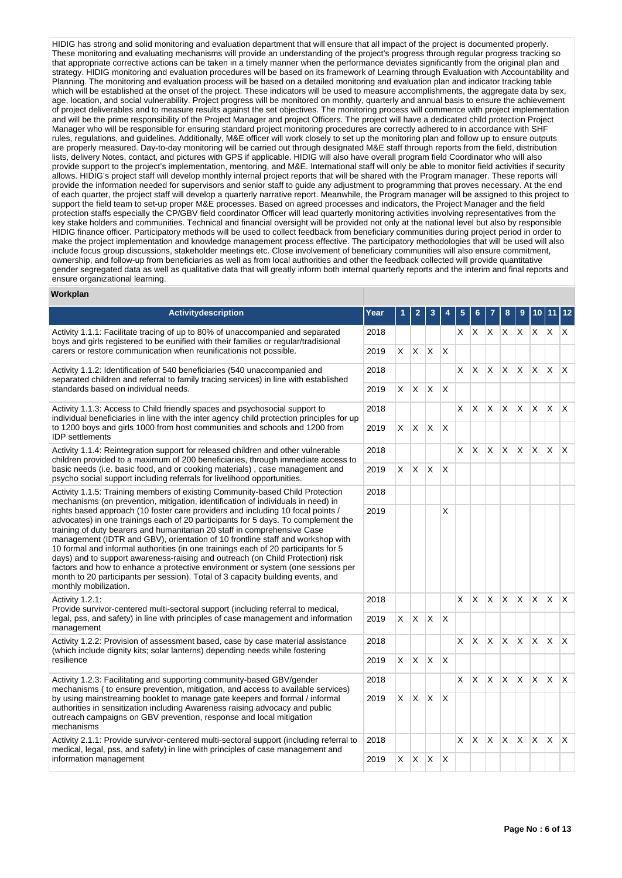HIDIG has strong and solid monitoring and evaluation department that will ensure that all impact of the project is documented properly. These monitoring and evaluating mechanisms will provide an understanding of the project's progress through regular progress tracking so that appropriate corrective actions can be taken in a timely manner when the performance deviates significantly from the original plan and strategy. HIDIG monitoring and evaluation procedures will be based on its framework of Learning through Evaluation with Accountability and Planning. The monitoring and evaluation process will be based on a detailed monitoring and evaluation plan and indicator tracking table which will be established at the onset of the project. These indicators will be used to measure accomplishments, the aggregate data by sex. age, location, and social vulnerability. Project progress will be monitored on monthly, quarterly and annual basis to ensure the achievement of project deliverables and to measure results against the set objectives. The monitoring process will commence with project implementation and will be the prime responsibility of the Project Manager and project Officers. The project will have a dedicated child protection Project Manager who will be responsible for ensuring standard project monitoring procedures are correctly adhered to in accordance with SHF rules, regulations, and guidelines. Additionally, M&E officer will work closely to set up the monitoring plan and follow up to ensure outputs are properly measured. Day-to-day monitoring will be carried out through designated M&E staff through reports from the field, distribution lists, delivery Notes, contact, and pictures with GPS if applicable. HIDIG will also have overall program field Coordinator who will also provide support to the project's implementation, mentoring, and M&E. International staff will only be able to monitor field activities if security allows. HIDIG's project staff will develop monthly internal project reports that will be shared with the Program manager. These reports will provide the information needed for supervisors and senior staff to guide any adjustment to programming that proves necessary. At the end of each quarter, the project staff will develop a quarterly narrative report. Meanwhile, the Program manager will be assigned to this project to support the field team to set-up proper M&E processes. Based on agreed processes and indicators, the Project Manager and the field protection staffs especially the CP/GBV field coordinator Officer will lead quarterly monitoring activities involving representatives from the key stake holders and communities. Technical and financial oversight will be provided not only at the national level but also by responsible HIDIG finance officer. Participatory methods will be used to collect feedback from beneficiary communities during project period in order to make the project implementation and knowledge management process effective. The participatory methodologies that will be used will also include focus group discussions, stakeholder meetings etc. Close involvement of beneficiary communities will also ensure commitment, ownership, and follow-up from beneficiaries as well as from local authorities and other the feedback collected will provide quantitative gender segregated data as well as qualitative data that will greatly inform both internal quarterly reports and the interim and final reports and ensure organizational learning.

#### **Workplan**

| Activitydescription                                                                                                                                                                                                                                                                                                                                                                                                                                                                                                                                                                                                                                                                                       | Year |    |              | 3        |                         |    |          |              |              |          |              |              |                         |
|-----------------------------------------------------------------------------------------------------------------------------------------------------------------------------------------------------------------------------------------------------------------------------------------------------------------------------------------------------------------------------------------------------------------------------------------------------------------------------------------------------------------------------------------------------------------------------------------------------------------------------------------------------------------------------------------------------------|------|----|--------------|----------|-------------------------|----|----------|--------------|--------------|----------|--------------|--------------|-------------------------|
| Activity 1.1.1: Facilitate tracing of up to 80% of unaccompanied and separated<br>boys and girls registered to be eunified with their families or regular/tradisional                                                                                                                                                                                                                                                                                                                                                                                                                                                                                                                                     | 2018 |    |              |          |                         | X. | X        | X.           | $\mathsf{X}$ | <b>X</b> | X.           | X.           | $\mathsf{X}$            |
| carers or restore communication when reunificationis not possible.                                                                                                                                                                                                                                                                                                                                                                                                                                                                                                                                                                                                                                        | 2019 | X. | X.           | X.       | $\mathsf{I} \mathsf{X}$ |    |          |              |              |          |              |              |                         |
| Activity 1.1.2: Identification of 540 beneficiaries (540 unaccompanied and<br>separated children and referral to family tracing services) in line with established                                                                                                                                                                                                                                                                                                                                                                                                                                                                                                                                        |      |    |              |          |                         | X. | X        | X            | X            | X.       | X.           | X.           | $\mathsf{X}$            |
| standards based on individual needs.                                                                                                                                                                                                                                                                                                                                                                                                                                                                                                                                                                                                                                                                      | 2019 | X. | X.           | X        | $\mathsf{X}$            |    |          |              |              |          |              |              |                         |
| Activity 1.1.3: Access to Child friendly spaces and psychosocial support to<br>individual beneficiaries in line with the inter agency child protection principles for up                                                                                                                                                                                                                                                                                                                                                                                                                                                                                                                                  | 2018 |    |              |          |                         | X. | X        | X            | $\mathsf{X}$ | <b>X</b> | X            | <b>X</b>     | $\mathsf{I} \mathsf{X}$ |
| to 1200 boys and girls 1000 from host communities and schools and 1200 from<br><b>IDP</b> settlements                                                                                                                                                                                                                                                                                                                                                                                                                                                                                                                                                                                                     | 2019 | X  | $\mathsf{X}$ | X        | X                       |    |          |              |              |          |              |              |                         |
| Activity 1.1.4: Reintegration support for released children and other vulnerable<br>children provided to a maximum of 200 beneficiaries, through immediate access to                                                                                                                                                                                                                                                                                                                                                                                                                                                                                                                                      | 2018 | X. |              |          |                         | X. | $\times$ | X            | X            | X        | X            | $\mathsf{X}$ | $\times$                |
| basic needs (i.e. basic food, and or cooking materials), case management and<br>psycho social support including referrals for livelihood opportunities.                                                                                                                                                                                                                                                                                                                                                                                                                                                                                                                                                   |      |    | X            | $\times$ | $\overline{\mathsf{x}}$ |    |          |              |              |          |              |              |                         |
| Activity 1.1.5: Training members of existing Community-based Child Protection<br>mechanisms (on prevention, mitigation, identification of individuals in need) in                                                                                                                                                                                                                                                                                                                                                                                                                                                                                                                                         | 2018 |    |              |          |                         |    |          |              |              |          |              |              |                         |
| rights based approach (10 foster care providers and including 10 focal points /<br>advocates) in one trainings each of 20 participants for 5 days. To complement the<br>training of duty bearers and humanitarian 20 staff in comprehensive Case<br>management (IDTR and GBV), orientation of 10 frontline staff and workshop with<br>10 formal and informal authorities (in one trainings each of 20 participants for 5<br>days) and to support awareness-raising and outreach (on Child Protection) risk<br>factors and how to enhance a protective environment or system (one sessions per<br>month to 20 participants per session). Total of 3 capacity building events, and<br>monthly mobilization. | 2019 |    |              |          | X                       |    |          |              |              |          |              |              |                         |
| Activity 1.2.1:<br>Provide survivor-centered multi-sectoral support (including referral to medical,                                                                                                                                                                                                                                                                                                                                                                                                                                                                                                                                                                                                       | 2018 |    |              |          |                         | X  | X        | $\mathsf{X}$ | $\times$     | X.       | $\mathsf{X}$ | X            | $\mathsf{X}$            |
| legal, pss, and safety) in line with principles of case management and information<br>management                                                                                                                                                                                                                                                                                                                                                                                                                                                                                                                                                                                                          | 2019 | X. | X.           | ΙX.      | $\mathsf{I} \mathsf{X}$ |    |          |              |              |          |              |              |                         |
| Activity 1.2.2: Provision of assessment based, case by case material assistance<br>(which include dignity kits; solar lanterns) depending needs while fostering                                                                                                                                                                                                                                                                                                                                                                                                                                                                                                                                           | 2018 |    |              |          |                         | X  | X        | <sup>X</sup> | X            | X.       | X            | $\times$     | ΙX.                     |
| resilience                                                                                                                                                                                                                                                                                                                                                                                                                                                                                                                                                                                                                                                                                                | 2019 | X. | X.           | IX.      | $\mathsf{I} \mathsf{X}$ |    |          |              |              |          |              |              |                         |
| Activity 1.2.3: Facilitating and supporting community-based GBV/gender<br>mechanisms ( to ensure prevention, mitigation, and access to available services)                                                                                                                                                                                                                                                                                                                                                                                                                                                                                                                                                | 2018 |    |              |          |                         | X. | X.       | IX.          | $\mathsf{X}$ | X.       | X            | X.           | $\mathsf{I} \mathsf{X}$ |
| by using mainstreaming booklet to manage gate keepers and formal / informal<br>authorities in sensitization including Awareness raising advocacy and public<br>outreach campaigns on GBV prevention, response and local mitigation<br>mechanisms                                                                                                                                                                                                                                                                                                                                                                                                                                                          | 2019 | X. | <b>X</b>     | ΙX.      | $\mathsf{X}$            |    |          |              |              |          |              |              |                         |
| Activity 2.1.1: Provide survivor-centered multi-sectoral support (including referral to<br>medical, legal, pss, and safety) in line with principles of case management and                                                                                                                                                                                                                                                                                                                                                                                                                                                                                                                                | 2018 |    |              |          |                         | X. | X        | X            | X            | X.       | $\times$     | X.           | $\mathsf{X}$            |
| information management                                                                                                                                                                                                                                                                                                                                                                                                                                                                                                                                                                                                                                                                                    |      | X. | X.           | ΙX.      | $\mathsf{X}$            |    |          |              |              |          |              |              |                         |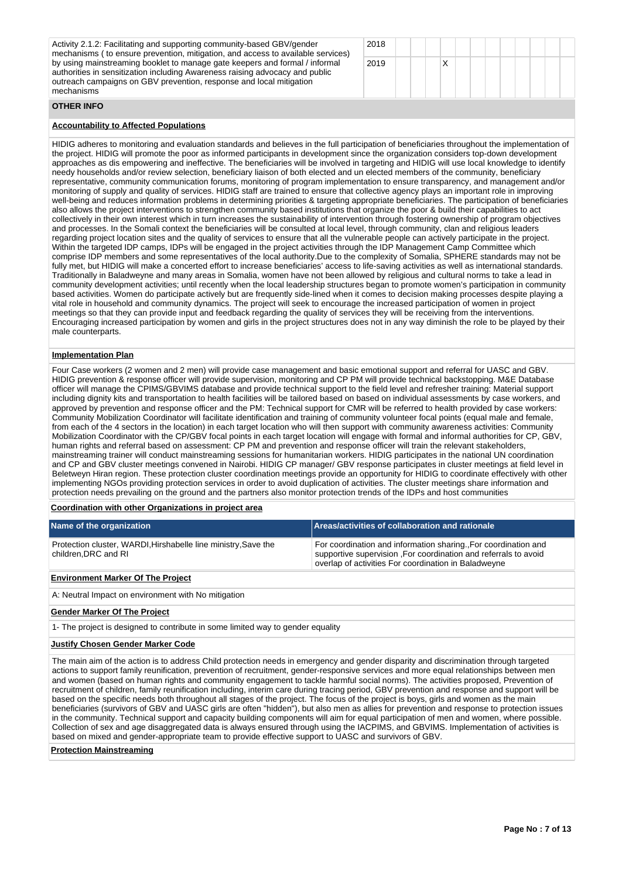| Activity 2.1.2: Facilitating and supporting community-based GBV/gender<br>mechanisms (to ensure prevention, mitigation, and access to available services)<br>by using mainstreaming booklet to manage gate keepers and formal / informal<br>authorities in sensitization including Awareness raising advocacy and public | 2018 |  |  |  |  |  |
|--------------------------------------------------------------------------------------------------------------------------------------------------------------------------------------------------------------------------------------------------------------------------------------------------------------------------|------|--|--|--|--|--|
|                                                                                                                                                                                                                                                                                                                          | 2019 |  |  |  |  |  |
| outreach campaigns on GBV prevention, response and local mitigation<br>mechanisms                                                                                                                                                                                                                                        |      |  |  |  |  |  |

#### **OTHER INFO**

## **Accountability to Affected Populations**

HIDIG adheres to monitoring and evaluation standards and believes in the full participation of beneficiaries throughout the implementation of the project. HIDIG will promote the poor as informed participants in development since the organization considers top-down development approaches as dis empowering and ineffective. The beneficiaries will be involved in targeting and HIDIG will use local knowledge to identify needy households and/or review selection, beneficiary liaison of both elected and un elected members of the community, beneficiary representative, community communication forums, monitoring of program implementation to ensure transparency, and management and/or monitoring of supply and quality of services. HIDIG staff are trained to ensure that collective agency plays an important role in improving well-being and reduces information problems in determining priorities & targeting appropriate beneficiaries. The participation of beneficiaries also allows the project interventions to strengthen community based institutions that organize the poor & build their capabilities to act collectively in their own interest which in turn increases the sustainability of intervention through fostering ownership of program objectives and processes. In the Somali context the beneficiaries will be consulted at local level, through community, clan and religious leaders regarding project location sites and the quality of services to ensure that all the vulnerable people can actively participate in the project. Within the targeted IDP camps, IDPs will be engaged in the project activities through the IDP Management Camp Committee which comprise IDP members and some representatives of the local authority.Due to the complexity of Somalia, SPHERE standards may not be fully met, but HIDIG will make a concerted effort to increase beneficiaries' access to life-saving activities as well as international standards. Traditionally in Baladweyne and many areas in Somalia, women have not been allowed by religious and cultural norms to take a lead in community development activities; until recently when the local leadership structures began to promote women's participation in community based activities. Women do participate actively but are frequently side-lined when it comes to decision making processes despite playing a vital role in household and community dynamics. The project will seek to encourage the increased participation of women in project meetings so that they can provide input and feedback regarding the quality of services they will be receiving from the interventions. Encouraging increased participation by women and girls in the project structures does not in any way diminish the role to be played by their male counterparts.

#### **Implementation Plan**

Four Case workers (2 women and 2 men) will provide case management and basic emotional support and referral for UASC and GBV. HIDIG prevention & response officer will provide supervision, monitoring and CP PM will provide technical backstopping. M&E Database officer will manage the CPIMS/GBVIMS database and provide technical support to the field level and refresher training: Material support including dignity kits and transportation to health facilities will be tailored based on based on individual assessments by case workers, and approved by prevention and response officer and the PM: Technical support for CMR will be referred to health provided by case workers: Community Mobilization Coordinator will facilitate identification and training of community volunteer focal points (equal male and female, from each of the 4 sectors in the location) in each target location who will then support with community awareness activities: Community Mobilization Coordinator with the CP/GBV focal points in each target location will engage with formal and informal authorities for CP, GBV, human rights and referral based on assessment: CP PM and prevention and response officer will train the relevant stakeholders, mainstreaming trainer will conduct mainstreaming sessions for humanitarian workers. HIDIG participates in the national UN coordination and CP and GBV cluster meetings convened in Nairobi. HIDIG CP manager/ GBV response participates in cluster meetings at field level in Beletweyn Hiran region. These protection cluster coordination meetings provide an opportunity for HIDIG to coordinate effectively with other implementing NGOs providing protection services in order to avoid duplication of activities. The cluster meetings share information and protection needs prevailing on the ground and the partners also monitor protection trends of the IDPs and host communities

## **Coordination with other Organizations in project area**

| Name of the organization                                                              | Areas/activities of collaboration and rationale                                                                                                                                           |
|---------------------------------------------------------------------------------------|-------------------------------------------------------------------------------------------------------------------------------------------------------------------------------------------|
| Protection cluster, WARDI, Hirshabelle line ministry, Save the<br>children.DRC and RI | For coordination and information sharing. For coordination and<br>supportive supervision .For coordination and referrals to avoid<br>overlap of activities For coordination in Baladweyne |

#### **Environment Marker Of The Project**

A: Neutral Impact on environment with No mitigation

#### **Gender Marker Of The Project**

1- The project is designed to contribute in some limited way to gender equality

#### **Justify Chosen Gender Marker Code**

The main aim of the action is to address Child protection needs in emergency and gender disparity and discrimination through targeted actions to support family reunification, prevention of recruitment, gender-responsive services and more equal relationships between men and women (based on human rights and community engagement to tackle harmful social norms). The activities proposed, Prevention of recruitment of children, family reunification including, interim care during tracing period, GBV prevention and response and support will be based on the specific needs both throughout all stages of the project. The focus of the project is boys, girls and women as the main beneficiaries (survivors of GBV and UASC girls are often "hidden"), but also men as allies for prevention and response to protection issues in the community. Technical support and capacity building components will aim for equal participation of men and women, where possible. Collection of sex and age disaggregated data is always ensured through using the IACPIMS, and GBVIMS. Implementation of activities is based on mixed and gender-appropriate team to provide effective support to UASC and survivors of GBV.

## **Protection Mainstreaming**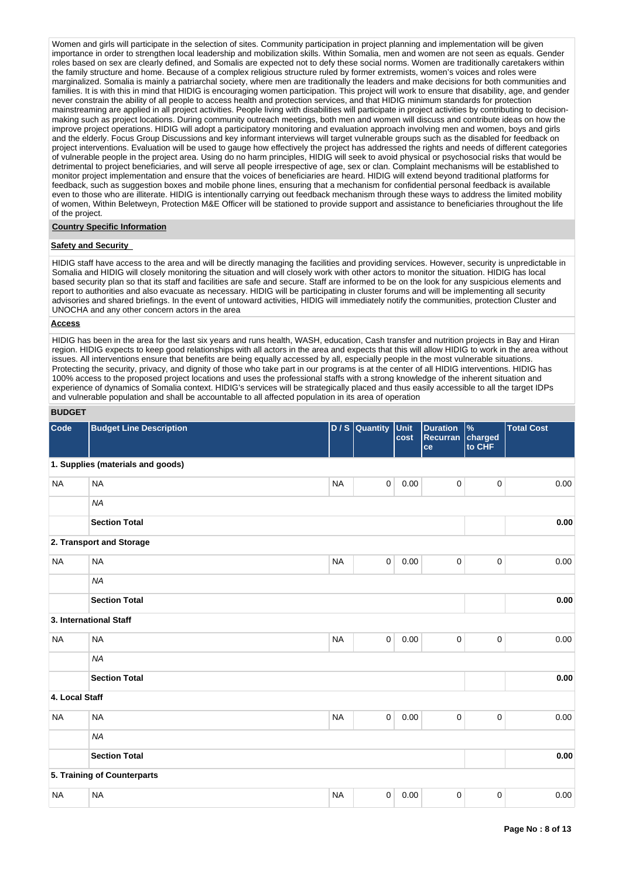Women and girls will participate in the selection of sites. Community participation in project planning and implementation will be given importance in order to strengthen local leadership and mobilization skills. Within Somalia, men and women are not seen as equals. Gender roles based on sex are clearly defined, and Somalis are expected not to defy these social norms. Women are traditionally caretakers within the family structure and home. Because of a complex religious structure ruled by former extremists, women's voices and roles were marginalized. Somalia is mainly a patriarchal society, where men are traditionally the leaders and make decisions for both communities and families. It is with this in mind that HIDIG is encouraging women participation. This project will work to ensure that disability, age, and gender never constrain the ability of all people to access health and protection services, and that HIDIG minimum standards for protection mainstreaming are applied in all project activities. People living with disabilities will participate in project activities by contributing to decisionmaking such as project locations. During community outreach meetings, both men and women will discuss and contribute ideas on how the improve project operations. HIDIG will adopt a participatory monitoring and evaluation approach involving men and women, boys and girls and the elderly. Focus Group Discussions and key informant interviews will target vulnerable groups such as the disabled for feedback on project interventions. Evaluation will be used to gauge how effectively the project has addressed the rights and needs of different categories of vulnerable people in the project area. Using do no harm principles, HIDIG will seek to avoid physical or psychosocial risks that would be detrimental to project beneficiaries, and will serve all people irrespective of age, sex or clan. Complaint mechanisms will be established to monitor project implementation and ensure that the voices of beneficiaries are heard. HIDIG will extend beyond traditional platforms for feedback, such as suggestion boxes and mobile phone lines, ensuring that a mechanism for confidential personal feedback is available even to those who are illiterate. HIDIG is intentionally carrying out feedback mechanism through these ways to address the limited mobility of women, Within Beletweyn, Protection M&E Officer will be stationed to provide support and assistance to beneficiaries throughout the life of the project.

## **Country Specific Information**

## **Safety and Security**

HIDIG staff have access to the area and will be directly managing the facilities and providing services. However, security is unpredictable in Somalia and HIDIG will closely monitoring the situation and will closely work with other actors to monitor the situation. HIDIG has local based security plan so that its staff and facilities are safe and secure. Staff are informed to be on the look for any suspicious elements and report to authorities and also evacuate as necessary. HIDIG will be participating in cluster forums and will be implementing all security advisories and shared briefings. In the event of untoward activities, HIDIG will immediately notify the communities, protection Cluster and UNOCHA and any other concern actors in the area

#### **Access**

HIDIG has been in the area for the last six years and runs health, WASH, education, Cash transfer and nutrition projects in Bay and Hiran region. HIDIG expects to keep good relationships with all actors in the area and expects that this will allow HIDIG to work in the area without issues. All interventions ensure that benefits are being equally accessed by all, especially people in the most vulnerable situations. Protecting the security, privacy, and dignity of those who take part in our programs is at the center of all HIDIG interventions. HIDIG has 100% access to the proposed project locations and uses the professional staffs with a strong knowledge of the inherent situation and experience of dynamics of Somalia context. HIDIG's services will be strategically placed and thus easily accessible to all the target IDPs and vulnerable population and shall be accountable to all affected population in its area of operation

## **BUDGET**

| Code           | <b>Budget Line Description</b>    |           | $D/S$ Quantity | Unit<br>cost | <b>Duration</b><br>Recurran charged<br>ce | $\frac{9}{6}$<br>to CHF | <b>Total Cost</b> |
|----------------|-----------------------------------|-----------|----------------|--------------|-------------------------------------------|-------------------------|-------------------|
|                | 1. Supplies (materials and goods) |           |                |              |                                           |                         |                   |
| <b>NA</b>      | <b>NA</b>                         | <b>NA</b> | $\mathbf 0$    | 0.00         | 0                                         | 0                       | 0.00              |
|                | <b>NA</b>                         |           |                |              |                                           |                         |                   |
|                | <b>Section Total</b>              |           |                |              |                                           |                         | 0.00              |
|                | 2. Transport and Storage          |           |                |              |                                           |                         |                   |
| <b>NA</b>      | <b>NA</b>                         | <b>NA</b> | 0              | 0.00         | 0                                         | 0                       | 0.00              |
|                | <b>NA</b>                         |           |                |              |                                           |                         |                   |
|                | <b>Section Total</b>              |           |                |              |                                           |                         | 0.00              |
|                | 3. International Staff            |           |                |              |                                           |                         |                   |
| <b>NA</b>      | <b>NA</b>                         | <b>NA</b> | $\mathbf 0$    | 0.00         | 0                                         | $\pmb{0}$               | 0.00              |
|                | <b>NA</b>                         |           |                |              |                                           |                         |                   |
|                | <b>Section Total</b>              |           |                |              |                                           |                         | 0.00              |
| 4. Local Staff |                                   |           |                |              |                                           |                         |                   |
| <b>NA</b>      | <b>NA</b>                         | <b>NA</b> | 0              | 0.00         | 0                                         | 0                       | 0.00              |
|                | <b>NA</b>                         |           |                |              |                                           |                         |                   |
|                | <b>Section Total</b>              |           |                |              |                                           |                         | 0.00              |
|                | 5. Training of Counterparts       |           |                |              |                                           |                         |                   |
| <b>NA</b>      | <b>NA</b>                         | <b>NA</b> | 0              | 0.00         | 0                                         | $\pmb{0}$               | 0.00              |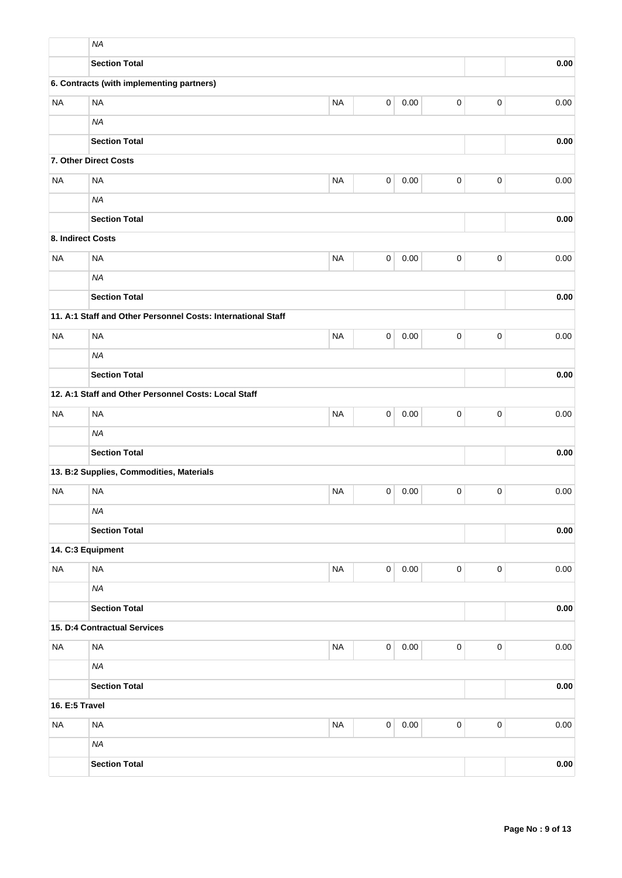|                   | <b>NA</b>                                                    |           |             |          |           |             |          |
|-------------------|--------------------------------------------------------------|-----------|-------------|----------|-----------|-------------|----------|
|                   | <b>Section Total</b>                                         |           |             |          |           |             | 0.00     |
|                   | 6. Contracts (with implementing partners)                    |           |             |          |           |             |          |
| <b>NA</b>         | <b>NA</b>                                                    | <b>NA</b> | 0           | 0.00     | $\pmb{0}$ | $\pmb{0}$   | 0.00     |
|                   | <b>NA</b>                                                    |           |             |          |           |             |          |
|                   | <b>Section Total</b>                                         |           |             |          |           |             | 0.00     |
|                   | 7. Other Direct Costs                                        |           |             |          |           |             |          |
| <b>NA</b>         | <b>NA</b>                                                    | <b>NA</b> | $\pmb{0}$   | 0.00     | $\pmb{0}$ | $\pmb{0}$   | 0.00     |
|                   | <b>NA</b>                                                    |           |             |          |           |             |          |
|                   | <b>Section Total</b>                                         |           |             |          |           |             | 0.00     |
| 8. Indirect Costs |                                                              |           |             |          |           |             |          |
| <b>NA</b>         | <b>NA</b>                                                    | <b>NA</b> | 0           | 0.00     | $\pmb{0}$ | $\mathbf 0$ | 0.00     |
|                   | <b>NA</b>                                                    |           |             |          |           |             |          |
|                   | <b>Section Total</b>                                         |           |             |          |           |             | 0.00     |
|                   | 11. A:1 Staff and Other Personnel Costs: International Staff |           |             |          |           |             |          |
| <b>NA</b>         | <b>NA</b>                                                    | <b>NA</b> | 0           | 0.00     | $\pmb{0}$ | $\mathbf 0$ | 0.00     |
|                   | <b>NA</b>                                                    |           |             |          |           |             |          |
|                   | <b>Section Total</b>                                         |           |             | 0.00     |           |             |          |
|                   | 12. A:1 Staff and Other Personnel Costs: Local Staff         |           |             |          |           |             |          |
| <b>NA</b>         | <b>NA</b>                                                    | <b>NA</b> | 0           | 0.00     | $\pmb{0}$ | $\pmb{0}$   | 0.00     |
|                   | <b>NA</b>                                                    |           |             |          |           |             |          |
|                   | <b>Section Total</b>                                         |           |             | 0.00     |           |             |          |
|                   | 13. B:2 Supplies, Commodities, Materials                     |           |             |          |           |             |          |
| <b>NA</b>         | <b>NA</b>                                                    | <b>NA</b> | 0           | 0.00     | 0         | $\mathbf 0$ | 0.00     |
|                   | <b>NA</b>                                                    |           |             |          |           |             |          |
|                   | <b>Section Total</b>                                         |           |             | 0.00     |           |             |          |
|                   | 14. C:3 Equipment                                            |           |             |          |           |             |          |
| <b>NA</b>         | <b>NA</b>                                                    | <b>NA</b> | $\mathsf 0$ | 0.00     | $\pmb{0}$ | $\pmb{0}$   | 0.00     |
|                   | <b>NA</b>                                                    |           |             |          |           |             |          |
|                   | <b>Section Total</b>                                         |           |             | 0.00     |           |             |          |
|                   | 15. D:4 Contractual Services                                 |           |             |          |           |             |          |
| <b>NA</b>         | <b>NA</b>                                                    | <b>NA</b> | $\mathsf 0$ | $0.00\,$ | $\pmb{0}$ | $\mathbf 0$ | $0.00\,$ |
|                   | <b>NA</b>                                                    |           |             |          |           |             |          |
|                   | <b>Section Total</b>                                         |           |             |          |           |             | 0.00     |
| 16. E:5 Travel    |                                                              |           |             |          |           |             |          |
| <b>NA</b>         | <b>NA</b>                                                    | $\sf NA$  | $\mathsf 0$ | 0.00     | $\pmb{0}$ | $\pmb{0}$   | $0.00\,$ |
|                   | <b>NA</b>                                                    |           |             |          |           |             |          |
|                   | <b>Section Total</b>                                         |           |             |          |           |             | 0.00     |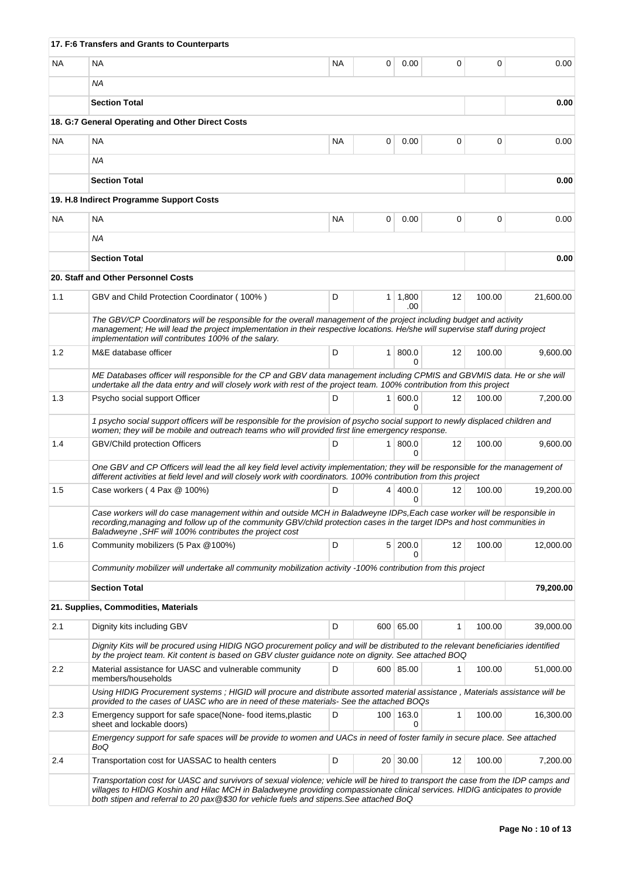|           | 17. F:6 Transfers and Grants to Counterparts                                                                                                                                                                                                                                                                                                                 |           |   |                       |              |          |           |  |  |
|-----------|--------------------------------------------------------------------------------------------------------------------------------------------------------------------------------------------------------------------------------------------------------------------------------------------------------------------------------------------------------------|-----------|---|-----------------------|--------------|----------|-----------|--|--|
| <b>NA</b> | <b>NA</b>                                                                                                                                                                                                                                                                                                                                                    | <b>NA</b> | 0 | 0.00                  | 0            | $\Omega$ | 0.00      |  |  |
|           | <b>NA</b>                                                                                                                                                                                                                                                                                                                                                    |           |   |                       |              |          |           |  |  |
|           | <b>Section Total</b>                                                                                                                                                                                                                                                                                                                                         |           |   |                       |              |          | 0.00      |  |  |
|           | 18. G:7 General Operating and Other Direct Costs                                                                                                                                                                                                                                                                                                             |           |   |                       |              |          |           |  |  |
| NA.       | NA                                                                                                                                                                                                                                                                                                                                                           | NA.       | 0 | 0.00                  | 0            | 0        | 0.00      |  |  |
|           | ΝA                                                                                                                                                                                                                                                                                                                                                           |           |   |                       |              |          |           |  |  |
|           | <b>Section Total</b>                                                                                                                                                                                                                                                                                                                                         |           |   |                       |              |          | 0.00      |  |  |
|           | 19. H.8 Indirect Programme Support Costs                                                                                                                                                                                                                                                                                                                     |           |   |                       |              |          |           |  |  |
| <b>NA</b> | <b>NA</b>                                                                                                                                                                                                                                                                                                                                                    | <b>NA</b> | 0 | 0.00                  | 0            | $\Omega$ | 0.00      |  |  |
|           | ΝA                                                                                                                                                                                                                                                                                                                                                           |           |   |                       |              |          |           |  |  |
|           | <b>Section Total</b>                                                                                                                                                                                                                                                                                                                                         |           |   |                       |              |          | 0.00      |  |  |
|           | 20. Staff and Other Personnel Costs                                                                                                                                                                                                                                                                                                                          |           |   |                       |              |          |           |  |  |
| 1.1       | GBV and Child Protection Coordinator (100%)                                                                                                                                                                                                                                                                                                                  | D         |   | $1 \mid 1,800$<br>.00 | 12           | 100.00   | 21,600.00 |  |  |
|           | The GBV/CP Coordinators will be responsible for the overall management of the project including budget and activity<br>management; He will lead the project implementation in their respective locations. He/she will supervise staff during project<br>implementation will contributes 100% of the salary.                                                  |           |   |                       |              |          |           |  |  |
| 1.2       | M&E database officer                                                                                                                                                                                                                                                                                                                                         | D         |   | 1   800.0<br>$\Omega$ | 12           | 100.00   | 9,600.00  |  |  |
|           | ME Databases officer will responsible for the CP and GBV data management including CPMIS and GBVMIS data. He or she will<br>undertake all the data entry and will closely work with rest of the project team. 100% contribution from this project                                                                                                            |           |   |                       |              |          |           |  |  |
| 1.3       | Psycho social support Officer                                                                                                                                                                                                                                                                                                                                | D         |   | 1 600.0<br>0          | 12           | 100.00   | 7,200.00  |  |  |
|           | 1 psycho social support officers will be responsible for the provision of psycho social support to newly displaced children and<br>women; they will be mobile and outreach teams who will provided first line emergency response.                                                                                                                            |           |   |                       |              |          |           |  |  |
| 1.4       | GBV/Child protection Officers                                                                                                                                                                                                                                                                                                                                | D         |   | 1   800.0<br>$\Omega$ | 12           | 100.00   | 9,600.00  |  |  |
|           | One GBV and CP Officers will lead the all key field level activity implementation; they will be responsible for the management of<br>different activities at field level and will closely work with coordinators. 100% contribution from this project                                                                                                        |           |   |                       |              |          |           |  |  |
| 1.5       | Case workers (4 Pax @ 100%)                                                                                                                                                                                                                                                                                                                                  | D         |   | 4   400.0<br>0        | 12           | 100.00   | 19,200.00 |  |  |
|           | Case workers will do case management within and outside MCH in Baladweyne IDPs, Each case worker will be responsible in<br>recording, managing and follow up of the community GBV/child protection cases in the target IDPs and host communities in<br>Baladweyne, SHF will 100% contributes the project cost                                                |           |   |                       |              |          |           |  |  |
| 1.6       | Community mobilizers (5 Pax @100%)                                                                                                                                                                                                                                                                                                                           | D         |   | 5 200.0<br>0          | 12           | 100.00   | 12,000.00 |  |  |
|           | Community mobilizer will undertake all community mobilization activity -100% contribution from this project                                                                                                                                                                                                                                                  |           |   |                       |              |          |           |  |  |
|           | <b>Section Total</b>                                                                                                                                                                                                                                                                                                                                         |           |   |                       |              |          | 79,200.00 |  |  |
|           | 21. Supplies, Commodities, Materials                                                                                                                                                                                                                                                                                                                         |           |   |                       |              |          |           |  |  |
| 2.1       | Dignity kits including GBV                                                                                                                                                                                                                                                                                                                                   | D         |   | 600 65.00             | 1            | 100.00   | 39,000.00 |  |  |
|           | Dignity Kits will be procured using HIDIG NGO procurement policy and will be distributed to the relevant beneficiaries identified<br>by the project team. Kit content is based on GBV cluster guidance note on dignity. See attached BOQ                                                                                                                     |           |   |                       |              |          |           |  |  |
| 2.2       | Material assistance for UASC and vulnerable community<br>members/households                                                                                                                                                                                                                                                                                  | D         |   | 600 85.00             | 1            | 100.00   | 51,000.00 |  |  |
|           | Using HIDIG Procurement systems; HIGID will procure and distribute assorted material assistance, Materials assistance will be<br>provided to the cases of UASC who are in need of these materials- See the attached BOQs                                                                                                                                     |           |   |                       |              |          |           |  |  |
| 2.3       | Emergency support for safe space(None-food items, plastic<br>sheet and lockable doors)                                                                                                                                                                                                                                                                       | D         |   | 100 163.0<br>0        | $\mathbf{1}$ | 100.00   | 16,300.00 |  |  |
|           | Emergency support for safe spaces will be provide to women and UACs in need of foster family in secure place. See attached<br>BoQ                                                                                                                                                                                                                            |           |   |                       |              |          |           |  |  |
| 2.4       | Transportation cost for UASSAC to health centers                                                                                                                                                                                                                                                                                                             | D         |   | 20 30.00              | 12           | 100.00   | 7,200.00  |  |  |
|           | Transportation cost for UASC and survivors of sexual violence; vehicle will be hired to transport the case from the IDP camps and<br>villages to HIDIG Koshin and Hilac MCH in Baladweyne providing compassionate clinical services. HIDIG anticipates to provide<br>both stipen and referral to 20 pax@\$30 for vehicle fuels and stipens. See attached BoQ |           |   |                       |              |          |           |  |  |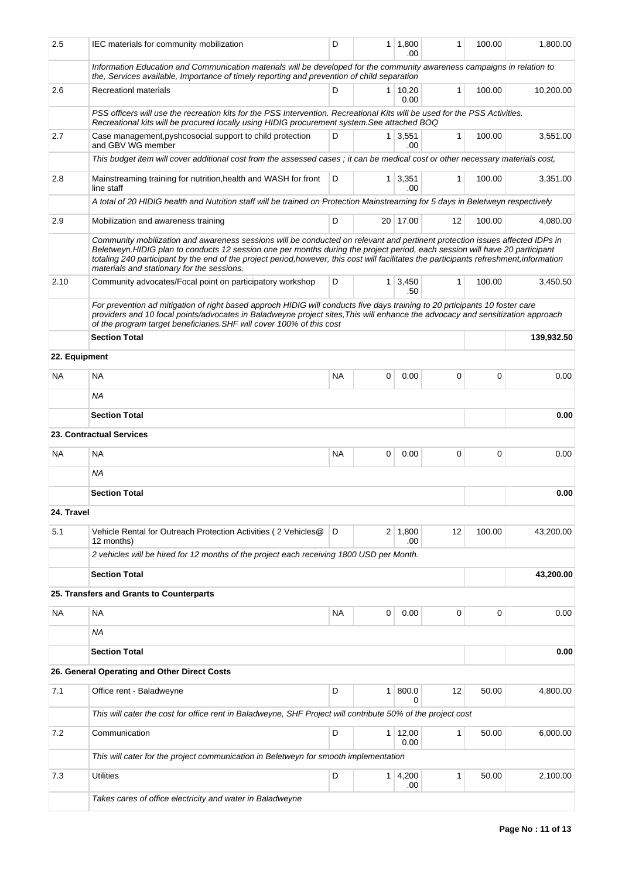| 2.5           | IEC materials for community mobilization                                                                                                                                                                                                                                                                                                                                                                                                              | D         | 1 <sup>1</sup> | 1,800<br>.00           | 1                 | 100.00 | 1,800.00   |
|---------------|-------------------------------------------------------------------------------------------------------------------------------------------------------------------------------------------------------------------------------------------------------------------------------------------------------------------------------------------------------------------------------------------------------------------------------------------------------|-----------|----------------|------------------------|-------------------|--------|------------|
|               | Information Education and Communication materials will be developed for the community awareness campaigns in relation to<br>the, Services available, Importance of timely reporting and prevention of child separation                                                                                                                                                                                                                                |           |                |                        |                   |        |            |
| 2.6           | <b>Recreationl materials</b>                                                                                                                                                                                                                                                                                                                                                                                                                          | D         |                | $1 \mid 10,20$<br>0.00 | $\mathbf{1}$      | 100.00 | 10,200.00  |
|               | PSS officers will use the recreation kits for the PSS Intervention. Recreational Kits will be used for the PSS Activities.<br>Recreational kits will be procured locally using HIDIG procurement system. See attached BOQ                                                                                                                                                                                                                             |           |                |                        |                   |        |            |
| 2.7           | Case management, pyshcosocial support to child protection<br>and GBV WG member                                                                                                                                                                                                                                                                                                                                                                        | D         |                | $1 \mid 3,551$<br>.00  | 1                 | 100.00 | 3,551.00   |
|               | This budget item will cover additional cost from the assessed cases ; it can be medical cost or other necessary materials cost,                                                                                                                                                                                                                                                                                                                       |           |                |                        |                   |        |            |
| 2.8           | Mainstreaming training for nutrition, health and WASH for front<br>line staff                                                                                                                                                                                                                                                                                                                                                                         | 100.00    | 3,351.00       |                        |                   |        |            |
|               | A total of 20 HIDIG health and Nutrition staff will be trained on Protection Mainstreaming for 5 days in Beletweyn respectively                                                                                                                                                                                                                                                                                                                       |           |                |                        |                   |        |            |
| 2.9           | Mobilization and awareness training                                                                                                                                                                                                                                                                                                                                                                                                                   | D         |                | 20 17.00               | $12 \overline{ }$ | 100.00 | 4,080.00   |
|               | Community mobilization and awareness sessions will be conducted on relevant and pertinent protection issues affected IDPs in<br>Beletweyn.HIDIG plan to conducts 12 session one per months during the project period, each session will have 20 participant<br>totaling 240 participant by the end of the project period, however, this cost will facilitates the participants refreshment, information<br>materials and stationary for the sessions. |           |                |                        |                   |        |            |
| 2.10          | Community advocates/Focal point on participatory workshop                                                                                                                                                                                                                                                                                                                                                                                             | D         |                | $1 \mid 3,450$<br>.50  | $\mathbf{1}$      | 100.00 | 3,450.50   |
|               | For prevention ad mitigation of right based approch HIDIG will conducts five days training to 20 prticipants 10 foster care<br>providers and 10 focal points/advocates in Baladweyne project sites. This will enhance the advocacy and sensitization approach<br>of the program target beneficiaries. SHF will cover 100% of this cost                                                                                                                |           |                |                        |                   |        |            |
|               | <b>Section Total</b>                                                                                                                                                                                                                                                                                                                                                                                                                                  |           |                |                        |                   |        | 139,932.50 |
| 22. Equipment |                                                                                                                                                                                                                                                                                                                                                                                                                                                       |           |                |                        |                   |        |            |
| NA.           | <b>NA</b>                                                                                                                                                                                                                                                                                                                                                                                                                                             | <b>NA</b> | 0              | 0.00                   | 0                 | 0      | 0.00       |
|               | <b>NA</b>                                                                                                                                                                                                                                                                                                                                                                                                                                             |           |                |                        |                   |        |            |
|               | <b>Section Total</b>                                                                                                                                                                                                                                                                                                                                                                                                                                  |           |                |                        |                   |        | 0.00       |
|               | <b>23. Contractual Services</b>                                                                                                                                                                                                                                                                                                                                                                                                                       |           |                |                        |                   |        |            |
| <b>NA</b>     | <b>NA</b>                                                                                                                                                                                                                                                                                                                                                                                                                                             | <b>NA</b> | 0              | 0.00                   | 0                 | 0      | 0.00       |
|               | <b>NA</b>                                                                                                                                                                                                                                                                                                                                                                                                                                             |           |                |                        |                   |        |            |
|               | <b>Section Total</b>                                                                                                                                                                                                                                                                                                                                                                                                                                  |           |                |                        |                   |        | 0.00       |
| 24. Travel    |                                                                                                                                                                                                                                                                                                                                                                                                                                                       |           |                |                        |                   |        |            |
| 5.1           | Vehicle Rental for Outreach Protection Activities (2 Vehicles@<br>12 months)                                                                                                                                                                                                                                                                                                                                                                          | D         |                | $2 \mid 1,800$<br>.00  | 12                | 100.00 | 43,200.00  |
|               | 2 vehicles will be hired for 12 months of the project each receiving 1800 USD per Month.                                                                                                                                                                                                                                                                                                                                                              |           |                |                        |                   |        |            |
|               | <b>Section Total</b>                                                                                                                                                                                                                                                                                                                                                                                                                                  |           |                |                        |                   |        | 43,200.00  |
|               | 25. Transfers and Grants to Counterparts                                                                                                                                                                                                                                                                                                                                                                                                              |           |                |                        |                   |        |            |
| NA            | <b>NA</b>                                                                                                                                                                                                                                                                                                                                                                                                                                             | <b>NA</b> | 0              | 0.00                   | 0                 | 0      | 0.00       |
|               | ΝA                                                                                                                                                                                                                                                                                                                                                                                                                                                    |           |                |                        |                   |        |            |
|               | <b>Section Total</b>                                                                                                                                                                                                                                                                                                                                                                                                                                  |           |                |                        |                   |        | 0.00       |
|               | 26. General Operating and Other Direct Costs                                                                                                                                                                                                                                                                                                                                                                                                          |           |                |                        |                   |        |            |
| 7.1           | Office rent - Baladweyne                                                                                                                                                                                                                                                                                                                                                                                                                              | D         | 1              | 800.0<br><sup>0</sup>  | 12                | 50.00  | 4,800.00   |
|               | This will cater the cost for office rent in Baladweyne, SHF Project will contribute 50% of the project cost                                                                                                                                                                                                                                                                                                                                           |           |                |                        |                   |        |            |
| 7.2           | Communication                                                                                                                                                                                                                                                                                                                                                                                                                                         | D         | 1 <sup>1</sup> | 12,00<br>0.00          | 1                 | 50.00  | 6,000.00   |
|               | This will cater for the project communication in Beletweyn for smooth implementation                                                                                                                                                                                                                                                                                                                                                                  |           |                |                        |                   |        |            |
| 7.3           | <b>Utilities</b>                                                                                                                                                                                                                                                                                                                                                                                                                                      | D         |                | $1 \, 4,200$<br>.00    | 1                 | 50.00  | 2,100.00   |
|               | Takes cares of office electricity and water in Baladweyne                                                                                                                                                                                                                                                                                                                                                                                             |           |                |                        |                   |        |            |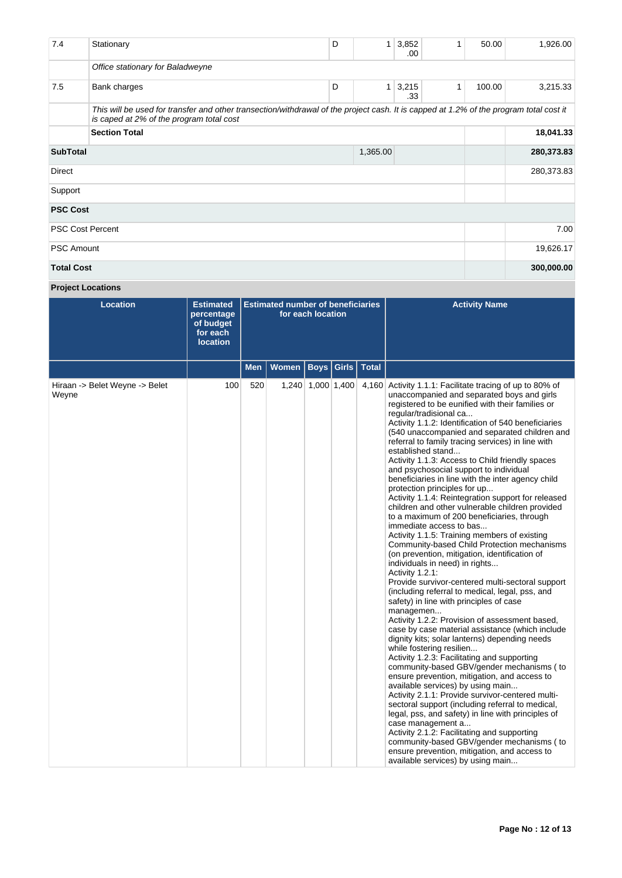| 7.4                     | Stationary                                                                                                                                                                         | D | 1        | 3,852<br>.00.         | 1 | 50.00  | 1,926.00   |
|-------------------------|------------------------------------------------------------------------------------------------------------------------------------------------------------------------------------|---|----------|-----------------------|---|--------|------------|
|                         | Office stationary for Baladweyne                                                                                                                                                   |   |          |                       |   |        |            |
| 7.5                     | Bank charges                                                                                                                                                                       | D |          | $1 \mid 3,215$<br>.33 | 1 | 100.00 | 3,215.33   |
|                         | This will be used for transfer and other transection/withdrawal of the project cash. It is capped at 1.2% of the program total cost it<br>is caped at 2% of the program total cost |   |          |                       |   |        |            |
|                         | <b>Section Total</b>                                                                                                                                                               |   |          |                       |   |        | 18,041.33  |
| <b>SubTotal</b>         |                                                                                                                                                                                    |   | 1,365.00 |                       |   |        | 280,373.83 |
| Direct                  |                                                                                                                                                                                    |   |          |                       |   |        | 280,373.83 |
| Support                 |                                                                                                                                                                                    |   |          |                       |   |        |            |
| <b>PSC Cost</b>         |                                                                                                                                                                                    |   |          |                       |   |        |            |
| <b>PSC Cost Percent</b> |                                                                                                                                                                                    |   |          |                       |   |        | 7.00       |
| <b>PSC Amount</b>       |                                                                                                                                                                                    |   |          |                       |   |        | 19,626.17  |
| <b>Total Cost</b>       |                                                                                                                                                                                    |   |          |                       |   |        | 300,000.00 |

# **Project Locations**

| <b>Location</b>                         | <b>Estimated</b><br>percentage<br>of budget<br>for each<br><b>location</b> | <b>Estimated number of beneficiaries</b><br>for each location |              |  |                      |       | <b>Activity Name</b>                                                                                                                                                                                                                                                                                                                                                                                                                                                                                                                                                                                                                                                                                                                                                                                                                                                                                                                                                                                                                                                                                                                                                                                                                                                                                                                                                                                                                                                                                                                                                                                                                                                                                                                                                                                                                             |
|-----------------------------------------|----------------------------------------------------------------------------|---------------------------------------------------------------|--------------|--|----------------------|-------|--------------------------------------------------------------------------------------------------------------------------------------------------------------------------------------------------------------------------------------------------------------------------------------------------------------------------------------------------------------------------------------------------------------------------------------------------------------------------------------------------------------------------------------------------------------------------------------------------------------------------------------------------------------------------------------------------------------------------------------------------------------------------------------------------------------------------------------------------------------------------------------------------------------------------------------------------------------------------------------------------------------------------------------------------------------------------------------------------------------------------------------------------------------------------------------------------------------------------------------------------------------------------------------------------------------------------------------------------------------------------------------------------------------------------------------------------------------------------------------------------------------------------------------------------------------------------------------------------------------------------------------------------------------------------------------------------------------------------------------------------------------------------------------------------------------------------------------------------|
|                                         |                                                                            | <b>Men</b>                                                    | <b>Women</b> |  | Boys   Girls   Total |       |                                                                                                                                                                                                                                                                                                                                                                                                                                                                                                                                                                                                                                                                                                                                                                                                                                                                                                                                                                                                                                                                                                                                                                                                                                                                                                                                                                                                                                                                                                                                                                                                                                                                                                                                                                                                                                                  |
| Hiraan -> Belet Weyne -> Belet<br>Weyne | 100                                                                        | 520                                                           |              |  | 1,240 1,000 1,400    | 4,160 | Activity 1.1.1: Facilitate tracing of up to 80% of<br>unaccompanied and separated boys and girls<br>registered to be eunified with their families or<br>regular/tradisional ca<br>Activity 1.1.2: Identification of 540 beneficiaries<br>(540 unaccompanied and separated children and<br>referral to family tracing services) in line with<br>established stand<br>Activity 1.1.3: Access to Child friendly spaces<br>and psychosocial support to individual<br>beneficiaries in line with the inter agency child<br>protection principles for up<br>Activity 1.1.4: Reintegration support for released<br>children and other vulnerable children provided<br>to a maximum of 200 beneficiaries, through<br>immediate access to bas<br>Activity 1.1.5: Training members of existing<br>Community-based Child Protection mechanisms<br>(on prevention, mitigation, identification of<br>individuals in need) in rights<br>Activity 1.2.1:<br>Provide survivor-centered multi-sectoral support<br>(including referral to medical, legal, pss, and<br>safety) in line with principles of case<br>managemen<br>Activity 1.2.2: Provision of assessment based,<br>case by case material assistance (which include<br>dignity kits; solar lanterns) depending needs<br>while fostering resilien<br>Activity 1.2.3: Facilitating and supporting<br>community-based GBV/gender mechanisms (to<br>ensure prevention, mitigation, and access to<br>available services) by using main<br>Activity 2.1.1: Provide survivor-centered multi-<br>sectoral support (including referral to medical,<br>legal, pss, and safety) in line with principles of<br>case management a<br>Activity 2.1.2: Facilitating and supporting<br>community-based GBV/gender mechanisms ( to<br>ensure prevention, mitigation, and access to<br>available services) by using main |